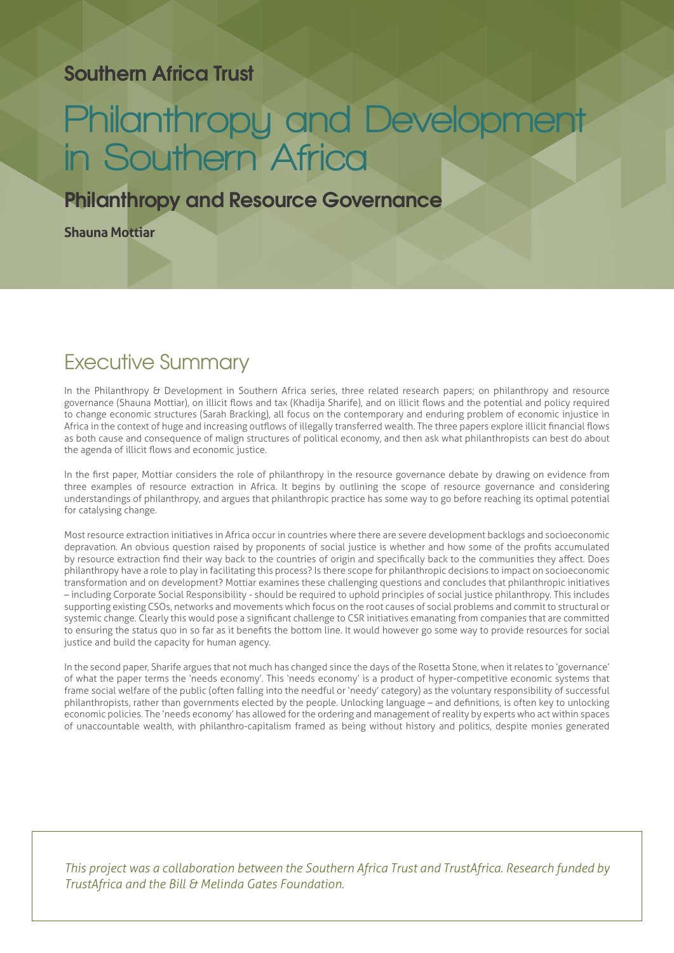#### **Southern Africa Trust**

# **Philanthropy and Development in Southern Africa**

#### **Philanthropy and Resource Governance**

**Shauna Mottiar**

## Executive Summary

In the Philanthropy & Development in Southern Africa series, three related research papers; on philanthropy and resource governance (Shauna Mottiar), on illicit flows and tax (Khadija Sharife), and on illicit flows and the potential and policy required to change economic structures (Sarah Bracking), all focus on the contemporary and enduring problem of economic injustice in Africa in the context of huge and increasing outflows of illegally transferred wealth. The three papers explore illicit financial flows as both cause and consequence of malign structures of political economy, and then ask what philanthropists can best do about the agenda of illicit flows and economic justice.

In the first paper, Mottiar considers the role of philanthropy in the resource governance debate by drawing on evidence from three examples of resource extraction in Africa. It begins by outlining the scope of resource governance and considering understandings of philanthropy, and argues that philanthropic practice has some way to go before reaching its optimal potential for catalysing change.

Most resource extraction initiatives in Africa occur in countries where there are severe development backlogs and socioeconomic depravation. An obvious question raised by proponents of social justice is whether and how some of the profits accumulated by resource extraction find their way back to the countries of origin and specifically back to the communities they affect. Does philanthropy have a role to play in facilitating this process? Is there scope for philanthropic decisions to impact on socioeconomic transformation and on development? Mottiar examines these challenging questions and concludes that philanthropic initiatives – including Corporate Social Responsibility - should be required to uphold principles of social justice philanthropy. This includes supporting existing CSOs, networks and movements which focus on the root causes of social problems and commit to structural or systemic change. Clearly this would pose a significant challenge to CSR initiatives emanating from companies that are committed to ensuring the status quo in so far as it benefits the bottom line. It would however go some way to provide resources for social justice and build the capacity for human agency.

In the second paper, Sharife argues that not much has changed since the days of the Rosetta Stone, when it relates to 'governance' of what the paper terms the 'needs economy'. This 'needs economy' is a product of hyper-competitive economic systems that frame social welfare of the public (often falling into the needful or 'needy' category) as the voluntary responsibility of successful philanthropists, rather than governments elected by the people. Unlocking language – and definitions, is often key to unlocking economic policies. The 'needs economy' has allowed for the ordering and management of reality by experts who act within spaces of unaccountable wealth, with philanthro-capitalism framed as being without history and politics, despite monies generated

*This project was a collaboration between the Southern Africa Trust and TrustAfrica. Research funded by TrustAfrica and the Bill & Melinda Gates Foundation.*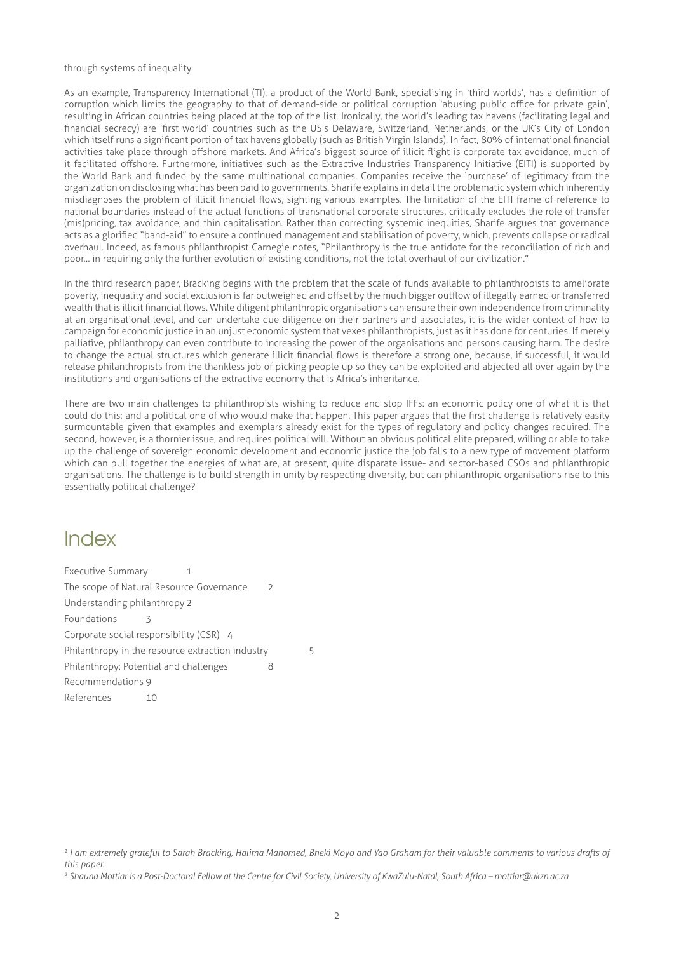through systems of inequality.

As an example, Transparency International (TI), a product of the World Bank, specialising in 'third worlds', has a definition of corruption which limits the geography to that of demand-side or political corruption 'abusing public office for private gain', resulting in African countries being placed at the top of the list. Ironically, the world's leading tax havens (facilitating legal and financial secrecy) are 'first world' countries such as the US's Delaware, Switzerland, Netherlands, or the UK's City of London which itself runs a significant portion of tax havens globally (such as British Virgin Islands). In fact, 80% of international financial activities take place through offshore markets. And Africa's biggest source of illicit flight is corporate tax avoidance, much of it facilitated offshore. Furthermore, initiatives such as the Extractive Industries Transparency Initiative (EITI) is supported by the World Bank and funded by the same multinational companies. Companies receive the 'purchase' of legitimacy from the organization on disclosing what has been paid to governments. Sharife explains in detail the problematic system which inherently misdiagnoses the problem of illicit financial flows, sighting various examples. The limitation of the EITI frame of reference to national boundaries instead of the actual functions of transnational corporate structures, critically excludes the role of transfer (mis)pricing, tax avoidance, and thin capitalisation. Rather than correcting systemic inequities, Sharife argues that governance acts as a glorified "band-aid" to ensure a continued management and stabilisation of poverty, which, prevents collapse or radical overhaul. Indeed, as famous philanthropist Carnegie notes, "Philanthropy is the true antidote for the reconciliation of rich and poor… in requiring only the further evolution of existing conditions, not the total overhaul of our civilization."

In the third research paper, Bracking begins with the problem that the scale of funds available to philanthropists to ameliorate poverty, inequality and social exclusion is far outweighed and offset by the much bigger outflow of illegally earned or transferred wealth that is illicit financial flows. While diligent philanthropic organisations can ensure their own independence from criminality at an organisational level, and can undertake due diligence on their partners and associates, it is the wider context of how to campaign for economic justice in an unjust economic system that vexes philanthropists, just as it has done for centuries. If merely palliative, philanthropy can even contribute to increasing the power of the organisations and persons causing harm. The desire to change the actual structures which generate illicit financial flows is therefore a strong one, because, if successful, it would release philanthropists from the thankless job of picking people up so they can be exploited and abjected all over again by the institutions and organisations of the extractive economy that is Africa's inheritance.

There are two main challenges to philanthropists wishing to reduce and stop IFFs: an economic policy one of what it is that could do this; and a political one of who would make that happen. This paper argues that the first challenge is relatively easily surmountable given that examples and exemplars already exist for the types of regulatory and policy changes required. The second, however, is a thornier issue, and requires political will. Without an obvious political elite prepared, willing or able to take up the challenge of sovereign economic development and economic justice the job falls to a new type of movement platform which can pull together the energies of what are, at present, quite disparate issue- and sector-based CSOs and philanthropic organisations. The challenge is to build strength in unity by respecting diversity, but can philanthropic organisations rise to this essentially political challenge?

#### Index

| <b>Executive Summary</b>                         |    | 1 |               |
|--------------------------------------------------|----|---|---------------|
| The scope of Natural Resource Governance         |    |   | $\mathcal{L}$ |
| Understanding philanthropy 2                     |    |   |               |
| Foundations                                      |    |   |               |
| Corporate social responsibility (CSR) 4          |    |   |               |
| Philanthropy in the resource extraction industry |    |   | 5             |
| Philanthropy: Potential and challenges           |    |   |               |
| Recommendations 9                                |    |   |               |
| References                                       | 10 |   |               |

*<sup>1</sup> I am extremely grateful to Sarah Bracking, Halima Mahomed, Bheki Moyo and Yao Graham for their valuable comments to various drafts of this paper.*

*<sup>2</sup> Shauna Mottiar is a Post-Doctoral Fellow at the Centre for Civil Society, University of KwaZulu-Natal, South Africa – mottiar@ukzn.ac.za*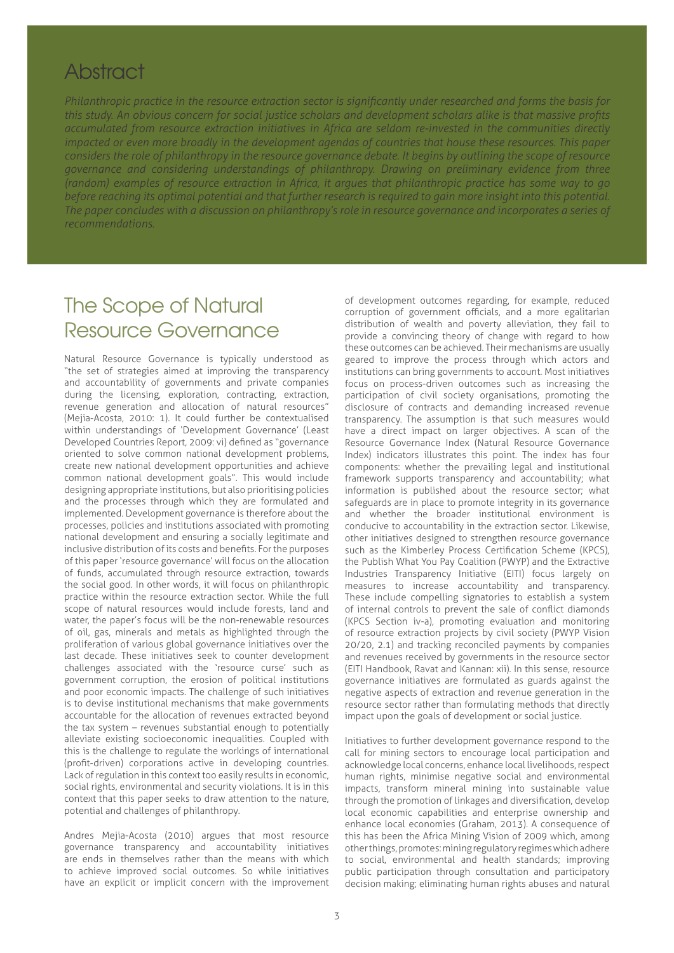### **Abstract**

*Philanthropic practice in the resource extraction sector is significantly under researched and forms the basis for this study. An obvious concern for social justice scholars and development scholars alike is that massive profits accumulated from resource extraction initiatives in Africa are seldom re-invested in the communities directly impacted or even more broadly in the development agendas of countries that house these resources. This paper considers the role of philanthropy in the resource governance debate. It begins by outlining the scope of resource governance and considering understandings of philanthropy. Drawing on preliminary evidence from three (random) examples of resource extraction in Africa, it argues that philanthropic practice has some way to go before reaching its optimal potential and that further research is required to gain more insight into this potential. The paper concludes with a discussion on philanthropy's role in resource governance and incorporates a series of recommendations.*

# The Scope of Natural Resource Governance

Natural Resource Governance is typically understood as "the set of strategies aimed at improving the transparency and accountability of governments and private companies during the licensing, exploration, contracting, extraction, revenue generation and allocation of natural resources" (Mejia-Acosta, 2010: 1). It could further be contextualised within understandings of 'Development Governance' (Least Developed Countries Report, 2009: vi) defined as "governance oriented to solve common national development problems, create new national development opportunities and achieve common national development goals". This would include designing appropriate institutions, but also prioritising policies and the processes through which they are formulated and implemented. Development governance is therefore about the processes, policies and institutions associated with promoting national development and ensuring a socially legitimate and inclusive distribution of its costs and benefits. For the purposes of this paper 'resource governance' will focus on the allocation of funds, accumulated through resource extraction, towards the social good. In other words, it will focus on philanthropic practice within the resource extraction sector. While the full scope of natural resources would include forests, land and water, the paper's focus will be the non-renewable resources of oil, gas, minerals and metals as highlighted through the proliferation of various global governance initiatives over the last decade. These initiatives seek to counter development challenges associated with the 'resource curse' such as government corruption, the erosion of political institutions and poor economic impacts. The challenge of such initiatives is to devise institutional mechanisms that make governments accountable for the allocation of revenues extracted beyond the tax system – revenues substantial enough to potentially alleviate existing socioeconomic inequalities. Coupled with this is the challenge to regulate the workings of international (profit-driven) corporations active in developing countries. Lack of regulation in this context too easily results in economic, social rights, environmental and security violations. It is in this context that this paper seeks to draw attention to the nature, potential and challenges of philanthropy.

Andres Mejia-Acosta (2010) argues that most resource governance transparency and accountability initiatives are ends in themselves rather than the means with which to achieve improved social outcomes. So while initiatives have an explicit or implicit concern with the improvement

of development outcomes regarding, for example, reduced corruption of government officials, and a more egalitarian distribution of wealth and poverty alleviation, they fail to provide a convincing theory of change with regard to how these outcomes can be achieved. Their mechanisms are usually geared to improve the process through which actors and institutions can bring governments to account. Most initiatives focus on process-driven outcomes such as increasing the participation of civil society organisations, promoting the disclosure of contracts and demanding increased revenue transparency. The assumption is that such measures would have a direct impact on larger objectives. A scan of the Resource Governance Index (Natural Resource Governance Index) indicators illustrates this point. The index has four components: whether the prevailing legal and institutional framework supports transparency and accountability; what information is published about the resource sector; what safeguards are in place to promote integrity in its governance and whether the broader institutional environment is conducive to accountability in the extraction sector. Likewise, other initiatives designed to strengthen resource governance such as the Kimberley Process Certification Scheme (KPCS), the Publish What You Pay Coalition (PWYP) and the Extractive Industries Transparency Initiative (EITI) focus largely on measures to increase accountability and transparency. These include compelling signatories to establish a system of internal controls to prevent the sale of conflict diamonds (KPCS Section iv-a), promoting evaluation and monitoring of resource extraction projects by civil society (PWYP Vision 20/20, 2.1) and tracking reconciled payments by companies and revenues received by governments in the resource sector (EITI Handbook, Ravat and Kannan: xii). In this sense, resource governance initiatives are formulated as guards against the negative aspects of extraction and revenue generation in the resource sector rather than formulating methods that directly impact upon the goals of development or social justice.

Initiatives to further development governance respond to the call for mining sectors to encourage local participation and acknowledge local concerns, enhance local livelihoods, respect human rights, minimise negative social and environmental impacts, transform mineral mining into sustainable value through the promotion of linkages and diversification, develop local economic capabilities and enterprise ownership and enhance local economies (Graham, 2013). A consequence of this has been the Africa Mining Vision of 2009 which, among other things, promotes: mining regulatory regimes which adhere to social, environmental and health standards; improving public participation through consultation and participatory decision making; eliminating human rights abuses and natural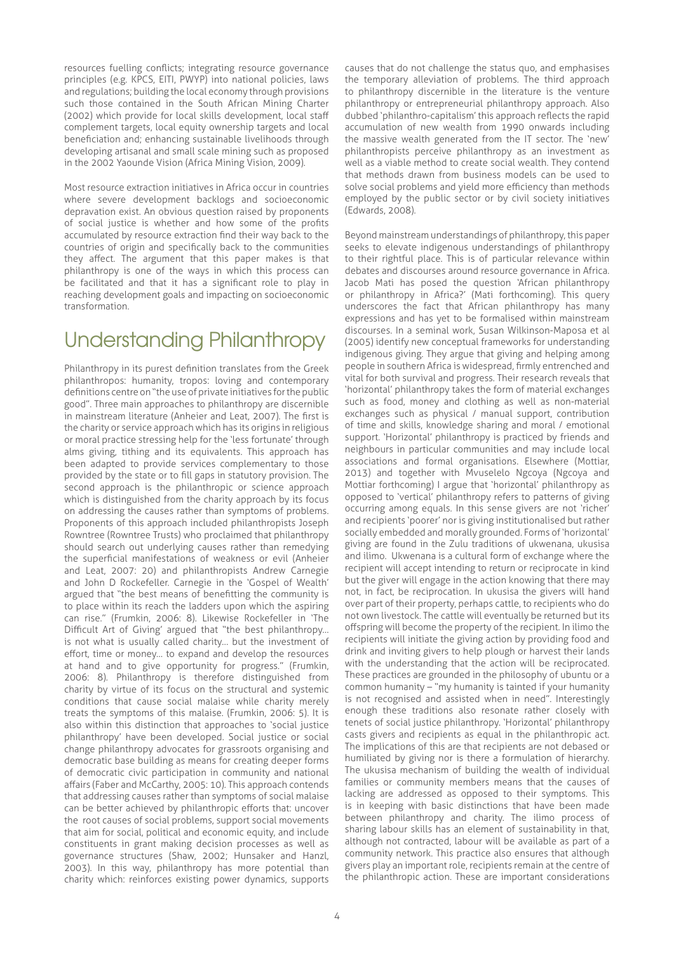resources fuelling conflicts; integrating resource governance principles (e.g. KPCS, EITI, PWYP) into national policies, laws and regulations; building the local economy through provisions such those contained in the South African Mining Charter (2002) which provide for local skills development, local staff complement targets, local equity ownership targets and local beneficiation and; enhancing sustainable livelihoods through developing artisanal and small scale mining such as proposed in the 2002 Yaounde Vision (Africa Mining Vision, 2009).

Most resource extraction initiatives in Africa occur in countries where severe development backlogs and socioeconomic depravation exist. An obvious question raised by proponents of social justice is whether and how some of the profits accumulated by resource extraction find their way back to the countries of origin and specifically back to the communities they affect. The argument that this paper makes is that philanthropy is one of the ways in which this process can be facilitated and that it has a significant role to play in reaching development goals and impacting on socioeconomic transformation.

# Understanding Philanthropy

Philanthropy in its purest definition translates from the Greek philanthropos: humanity, tropos: loving and contemporary definitions centre on "the use of private initiatives for the public good". Three main approaches to philanthropy are discernible in mainstream literature (Anheier and Leat, 2007). The first is the charity or service approach which has its origins in religious or moral practice stressing help for the 'less fortunate' through alms giving, tithing and its equivalents. This approach has been adapted to provide services complementary to those provided by the state or to fill gaps in statutory provision. The second approach is the philanthropic or science approach which is distinguished from the charity approach by its focus on addressing the causes rather than symptoms of problems. Proponents of this approach included philanthropists Joseph Rowntree (Rowntree Trusts) who proclaimed that philanthropy should search out underlying causes rather than remedying the superficial manifestations of weakness or evil (Anheier and Leat, 2007: 20) and philanthropists Andrew Carnegie and John D Rockefeller. Carnegie in the 'Gospel of Wealth' argued that "the best means of benefitting the community is to place within its reach the ladders upon which the aspiring can rise." (Frumkin, 2006: 8). Likewise Rockefeller in 'The Difficult Art of Giving' argued that "the best philanthropy… is not what is usually called charity… but the investment of effort, time or money… to expand and develop the resources at hand and to give opportunity for progress." (Frumkin, 2006: 8). Philanthropy is therefore distinguished from charity by virtue of its focus on the structural and systemic conditions that cause social malaise while charity merely treats the symptoms of this malaise. (Frumkin, 2006: 5). It is also within this distinction that approaches to 'social justice philanthropy' have been developed. Social justice or social change philanthropy advocates for grassroots organising and democratic base building as means for creating deeper forms of democratic civic participation in community and national affairs (Faber and McCarthy, 2005: 10). This approach contends that addressing causes rather than symptoms of social malaise can be better achieved by philanthropic efforts that: uncover the root causes of social problems, support social movements that aim for social, political and economic equity, and include constituents in grant making decision processes as well as governance structures (Shaw, 2002; Hunsaker and Hanzl, 2003). In this way, philanthropy has more potential than charity which: reinforces existing power dynamics, supports

causes that do not challenge the status quo, and emphasises the temporary alleviation of problems. The third approach to philanthropy discernible in the literature is the venture philanthropy or entrepreneurial philanthropy approach. Also dubbed 'philanthro-capitalism' this approach reflects the rapid accumulation of new wealth from 1990 onwards including the massive wealth generated from the IT sector. The 'new' philanthropists perceive philanthropy as an investment as well as a viable method to create social wealth. They contend that methods drawn from business models can be used to solve social problems and yield more efficiency than methods employed by the public sector or by civil society initiatives (Edwards, 2008).

Beyond mainstream understandings of philanthropy, this paper seeks to elevate indigenous understandings of philanthropy to their rightful place. This is of particular relevance within debates and discourses around resource governance in Africa. Jacob Mati has posed the question 'African philanthropy or philanthropy in Africa?' (Mati forthcoming). This query underscores the fact that African philanthropy has many expressions and has yet to be formalised within mainstream discourses. In a seminal work, Susan Wilkinson-Maposa et al (2005) identify new conceptual frameworks for understanding indigenous giving. They argue that giving and helping among people in southern Africa is widespread, firmly entrenched and vital for both survival and progress. Their research reveals that 'horizontal' philanthropy takes the form of material exchanges such as food, money and clothing as well as non-material exchanges such as physical / manual support, contribution of time and skills, knowledge sharing and moral / emotional support. 'Horizontal' philanthropy is practiced by friends and neighbours in particular communities and may include local associations and formal organisations. Elsewhere (Mottiar, 2013) and together with Mvuselelo Ngcoya (Ngcoya and Mottiar forthcoming) I argue that 'horizontal' philanthropy as opposed to 'vertical' philanthropy refers to patterns of giving occurring among equals. In this sense givers are not 'richer' and recipients 'poorer' nor is giving institutionalised but rather socially embedded and morally grounded. Forms of 'horizontal' giving are found in the Zulu traditions of ukwenana, ukusisa and ilimo. Ukwenana is a cultural form of exchange where the recipient will accept intending to return or reciprocate in kind but the giver will engage in the action knowing that there may not, in fact, be reciprocation. In ukusisa the givers will hand over part of their property, perhaps cattle, to recipients who do not own livestock. The cattle will eventually be returned but its offspring will become the property of the recipient. In ilimo the recipients will initiate the giving action by providing food and drink and inviting givers to help plough or harvest their lands with the understanding that the action will be reciprocated. These practices are grounded in the philosophy of ubuntu or a common humanity – "my humanity is tainted if your humanity is not recognised and assisted when in need". Interestingly enough these traditions also resonate rather closely with tenets of social justice philanthropy. 'Horizontal' philanthropy casts givers and recipients as equal in the philanthropic act. The implications of this are that recipients are not debased or humiliated by giving nor is there a formulation of hierarchy. The ukusisa mechanism of building the wealth of individual families or community members means that the causes of lacking are addressed as opposed to their symptoms. This is in keeping with basic distinctions that have been made between philanthropy and charity. The ilimo process of sharing labour skills has an element of sustainability in that, although not contracted, labour will be available as part of a community network. This practice also ensures that although givers play an important role, recipients remain at the centre of the philanthropic action. These are important considerations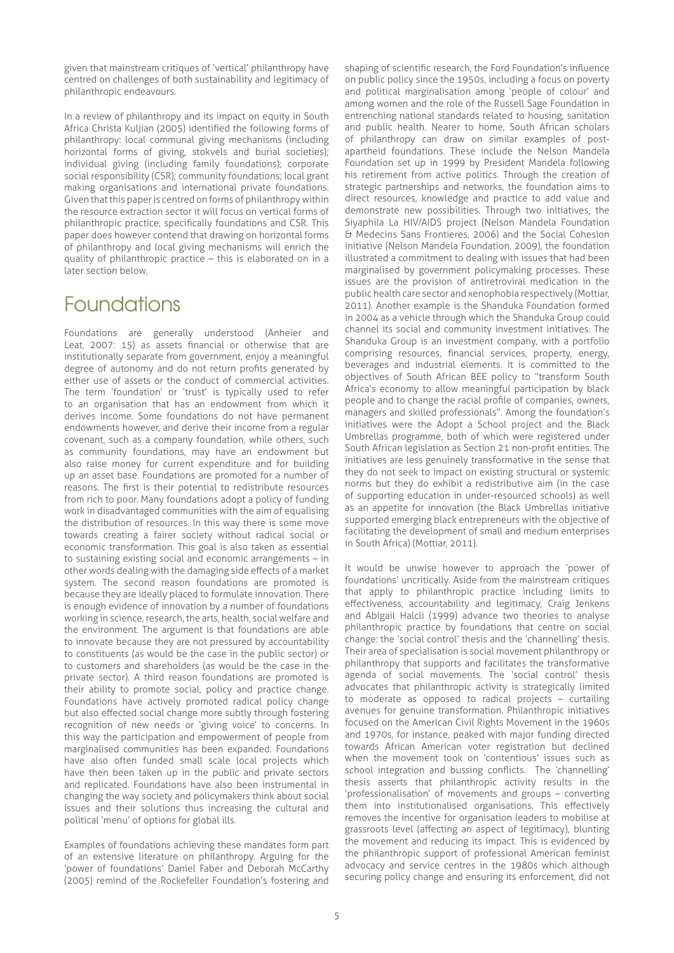given that mainstream critiques of 'vertical' philanthropy have centred on challenges of both sustainability and legitimacy of philanthropic endeavours.

In a review of philanthropy and its impact on equity in South Africa Christa Kuljian (2005) identified the following forms of philanthropy: local communal giving mechanisms (including horizontal forms of giving, stokvels and burial societies); individual giving (including family foundations); corporate social responsibility (CSR); community foundations; local grant making organisations and international private foundations. Given that this paper is centred on forms of philanthropy within the resource extraction sector it will focus on vertical forms of philanthropic practice, specifically foundations and CSR. This paper does however contend that drawing on horizontal forms of philanthropy and local giving mechanisms will enrich the quality of philanthropic practice – this is elaborated on in a later section below.

#### Foundations

Foundations are generally understood (Anheier and Leat, 2007: 15) as assets financial or otherwise that are institutionally separate from government, enjoy a meaningful degree of autonomy and do not return profits generated by either use of assets or the conduct of commercial activities. The term 'foundation' or 'trust' is typically used to refer to an organisation that has an endowment from which it derives income. Some foundations do not have permanent endowments however, and derive their income from a regular covenant, such as a company foundation, while others, such as community foundations, may have an endowment but also raise money for current expenditure and for building up an asset base. Foundations are promoted for a number of reasons. The first is their potential to redistribute resources from rich to poor. Many foundations adopt a policy of funding work in disadvantaged communities with the aim of equalising the distribution of resources. In this way there is some move towards creating a fairer society without radical social or economic transformation. This goal is also taken as essential to sustaining existing social and economic arrangements – in other words dealing with the damaging side effects of a market system. The second reason foundations are promoted is because they are ideally placed to formulate innovation. There is enough evidence of innovation by a number of foundations working in science, research, the arts, health, social welfare and the environment. The argument is that foundations are able to innovate because they are not pressured by accountability to constituents (as would be the case in the public sector) or to customers and shareholders (as would be the case in the private sector). A third reason foundations are promoted is their ability to promote social, policy and practice change. Foundations have actively promoted radical policy change but also effected social change more subtly through fostering recognition of new needs or 'giving voice' to concerns. In this way the participation and empowerment of people from marginalised communities has been expanded. Foundations have also often funded small scale local projects which have then been taken up in the public and private sectors and replicated. Foundations have also been instrumental in changing the way society and policymakers think about social issues and their solutions thus increasing the cultural and political 'menu' of options for global ills.

Examples of foundations achieving these mandates form part of an extensive literature on philanthropy. Arguing for the 'power of foundations' Daniel Faber and Deborah McCarthy (2005) remind of the Rockefeller Foundation's fostering and

shaping of scientific research, the Ford Foundation's influence on public policy since the 1950s, including a focus on poverty and political marginalisation among 'people of colour' and among women and the role of the Russell Sage Foundation in entrenching national standards related to housing, sanitation and public health. Nearer to home, South African scholars of philanthropy can draw on similar examples of postapartheid foundations. These include the Nelson Mandela Foundation set up in 1999 by President Mandela following his retirement from active politics. Through the creation of strategic partnerships and networks, the foundation aims to direct resources, knowledge and practice to add value and demonstrate new possibilities. Through two initiatives, the Siyaphila La HIV/AIDS project (Nelson Mandela Foundation & Medecins Sans Frontieres, 2006) and the Social Cohesion initiative (Nelson Mandela Foundation, 2009), the foundation illustrated a commitment to dealing with issues that had been marginalised by government policymaking processes. These issues are the provision of antiretroviral medication in the public health care sector and xenophobia respectively (Mottiar, 2011). Another example is the Shanduka Foundation formed in 2004 as a vehicle through which the Shanduka Group could channel its social and community investment initiatives. The Shanduka Group is an investment company, with a portfolio comprising resources, financial services, property, energy, beverages and industrial elements. It is committed to the objectives of South African BEE policy to "transform South Africa's economy to allow meaningful participation by black people and to change the racial profile of companies, owners, managers and skilled professionals". Among the foundation's initiatives were the Adopt a School project and the Black Umbrellas programme, both of which were registered under South African legislation as Section 21 non-profit entities. The initiatives are less genuinely transformative in the sense that they do not seek to impact on existing structural or systemic norms but they do exhibit a redistributive aim (in the case of supporting education in under-resourced schools) as well as an appetite for innovation (the Black Umbrellas initiative supported emerging black entrepreneurs with the objective of facilitating the development of small and medium enterprises in South Africa) (Mottiar, 2011).

It would be unwise however to approach the 'power of foundations' uncritically. Aside from the mainstream critiques that apply to philanthropic practice including limits to effectiveness, accountability and legitimacy, Craig Jenkens and Abigail Halcli (1999) advance two theories to analyse philanthropic practice by foundations that centre on social change: the 'social control' thesis and the 'channelling' thesis. Their area of specialisation is social movement philanthropy or philanthropy that supports and facilitates the transformative agenda of social movements. The 'social control' thesis advocates that philanthropic activity is strategically limited to moderate as opposed to radical projects – curtailing avenues for genuine transformation. Philanthropic initiatives focused on the American Civil Rights Movement in the 1960s and 1970s, for instance, peaked with major funding directed towards African American voter registration but declined when the movement took on 'contentious' issues such as school integration and bussing conflicts. The 'channelling' thesis asserts that philanthropic activity results in the 'professionalisation' of movements and groups – converting them into institutionalised organisations. This effectively removes the incentive for organisation leaders to mobilise at grassroots level (affecting an aspect of legitimacy), blunting the movement and reducing its impact. This is evidenced by the philanthropic support of professional American feminist advocacy and service centres in the 1980s which although securing policy change and ensuring its enforcement, did not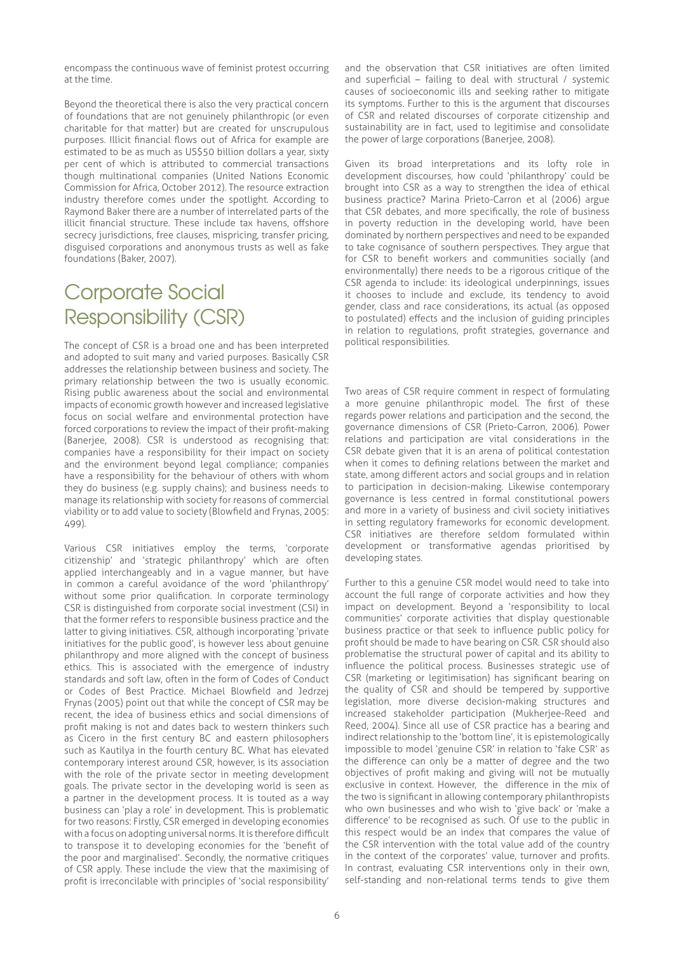encompass the continuous wave of feminist protest occurring at the time.

Beyond the theoretical there is also the very practical concern of foundations that are not genuinely philanthropic (or even charitable for that matter) but are created for unscrupulous purposes. Illicit financial flows out of Africa for example are estimated to be as much as US\$50 billion dollars a year, sixty per cent of which is attributed to commercial transactions though multinational companies (United Nations Economic Commission for Africa, October 2012). The resource extraction industry therefore comes under the spotlight. According to Raymond Baker there are a number of interrelated parts of the illicit financial structure. These include tax havens, offshore secrecy jurisdictions, free clauses, mispricing, transfer pricing, disguised corporations and anonymous trusts as well as fake foundations (Baker, 2007).

# Corporate Social Responsibility (CSR)

The concept of CSR is a broad one and has been interpreted and adopted to suit many and varied purposes. Basically CSR addresses the relationship between business and society. The primary relationship between the two is usually economic. Rising public awareness about the social and environmental impacts of economic growth however and increased legislative focus on social welfare and environmental protection have forced corporations to review the impact of their profit-making (Banerjee, 2008). CSR is understood as recognising that: companies have a responsibility for their impact on society and the environment beyond legal compliance; companies have a responsibility for the behaviour of others with whom they do business (e.g. supply chains); and business needs to manage its relationship with society for reasons of commercial viability or to add value to society (Blowfield and Frynas, 2005: 499).

Various CSR initiatives employ the terms, 'corporate citizenship' and 'strategic philanthropy' which are often applied interchangeably and in a vague manner, but have in common a careful avoidance of the word 'philanthropy' without some prior qualification. In corporate terminology CSR is distinguished from corporate social investment (CSI) in that the former refers to responsible business practice and the latter to giving initiatives. CSR, although incorporating 'private initiatives for the public good', is however less about genuine philanthropy and more aligned with the concept of business ethics. This is associated with the emergence of industry standards and soft law, often in the form of Codes of Conduct or Codes of Best Practice. Michael Blowfield and Jedrzej Frynas (2005) point out that while the concept of CSR may be recent, the idea of business ethics and social dimensions of profit making is not and dates back to western thinkers such as Cicero in the first century BC and eastern philosophers such as Kautilya in the fourth century BC. What has elevated contemporary interest around CSR, however, is its association with the role of the private sector in meeting development goals. The private sector in the developing world is seen as a partner in the development process. It is touted as a way business can 'play a role' in development. This is problematic for two reasons: Firstly, CSR emerged in developing economies with a focus on adopting universal norms. It is therefore difficult to transpose it to developing economies for the 'benefit of the poor and marginalised'. Secondly, the normative critiques of CSR apply. These include the view that the maximising of profit is irreconcilable with principles of 'social responsibility'

and the observation that CSR initiatives are often limited and superficial – failing to deal with structural / systemic causes of socioeconomic ills and seeking rather to mitigate its symptoms. Further to this is the argument that discourses of CSR and related discourses of corporate citizenship and sustainability are in fact, used to legitimise and consolidate the power of large corporations (Banerjee, 2008).

Given its broad interpretations and its lofty role in development discourses, how could 'philanthropy' could be brought into CSR as a way to strengthen the idea of ethical business practice? Marina Prieto-Carron et al (2006) argue that CSR debates, and more specifically, the role of business in poverty reduction in the developing world, have been dominated by northern perspectives and need to be expanded to take cognisance of southern perspectives. They argue that for CSR to benefit workers and communities socially (and environmentally) there needs to be a rigorous critique of the CSR agenda to include: its ideological underpinnings, issues it chooses to include and exclude, its tendency to avoid gender, class and race considerations, its actual (as opposed to postulated) effects and the inclusion of guiding principles in relation to regulations, profit strategies, governance and political responsibilities.

Two areas of CSR require comment in respect of formulating a more genuine philanthropic model. The first of these regards power relations and participation and the second, the governance dimensions of CSR (Prieto-Carron, 2006). Power relations and participation are vital considerations in the CSR debate given that it is an arena of political contestation when it comes to defining relations between the market and state, among different actors and social groups and in relation to participation in decision-making. Likewise contemporary governance is less centred in formal constitutional powers and more in a variety of business and civil society initiatives in setting regulatory frameworks for economic development. CSR initiatives are therefore seldom formulated within development or transformative agendas prioritised by developing states.

Further to this a genuine CSR model would need to take into account the full range of corporate activities and how they impact on development. Beyond a 'responsibility to local communities' corporate activities that display questionable business practice or that seek to influence public policy for profit should be made to have bearing on CSR. CSR should also problematise the structural power of capital and its ability to influence the political process. Businesses strategic use of CSR (marketing or legitimisation) has significant bearing on the quality of CSR and should be tempered by supportive legislation, more diverse decision-making structures and increased stakeholder participation (Mukherjee-Reed and Reed, 2004). Since all use of CSR practice has a bearing and indirect relationship to the 'bottom line', it is epistemologically impossible to model 'genuine CSR' in relation to 'fake CSR' as the difference can only be a matter of degree and the two objectives of profit making and giving will not be mutually exclusive in context. However, the difference in the mix of the two is significant in allowing contemporary philanthropists who own businesses and who wish to 'give back' or 'make a difference' to be recognised as such. Of use to the public in this respect would be an index that compares the value of the CSR intervention with the total value add of the country in the context of the corporates' value, turnover and profits. In contrast, evaluating CSR interventions only in their own, self-standing and non-relational terms tends to give them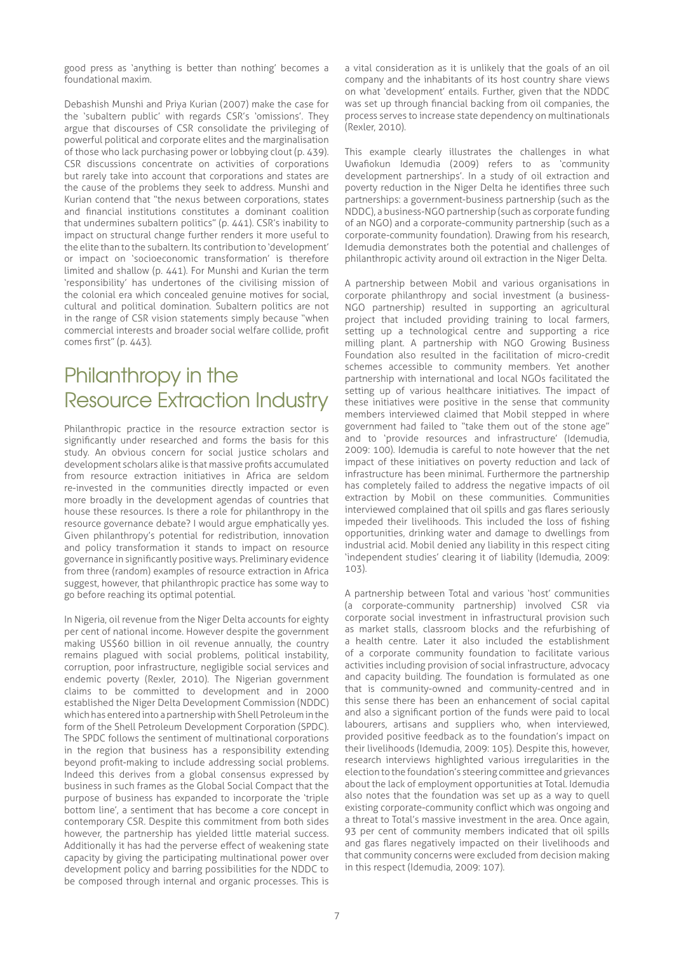good press as 'anything is better than nothing' becomes a foundational maxim.

Debashish Munshi and Priya Kurian (2007) make the case for the 'subaltern public' with regards CSR's 'omissions'. They argue that discourses of CSR consolidate the privileging of powerful political and corporate elites and the marginalisation of those who lack purchasing power or lobbying clout (p. 439). CSR discussions concentrate on activities of corporations but rarely take into account that corporations and states are the cause of the problems they seek to address. Munshi and Kurian contend that "the nexus between corporations, states and financial institutions constitutes a dominant coalition that undermines subaltern politics" (p. 441). CSR's inability to impact on structural change further renders it more useful to the elite than to the subaltern. Its contribution to 'development' or impact on 'socioeconomic transformation' is therefore limited and shallow (p. 441). For Munshi and Kurian the term 'responsibility' has undertones of the civilising mission of the colonial era which concealed genuine motives for social, cultural and political domination. Subaltern politics are not in the range of CSR vision statements simply because "when commercial interests and broader social welfare collide, profit comes first" (p. 443).

# Philanthropy in the Resource Extraction Industry

Philanthropic practice in the resource extraction sector is significantly under researched and forms the basis for this study. An obvious concern for social justice scholars and development scholars alike is that massive profits accumulated from resource extraction initiatives in Africa are seldom re-invested in the communities directly impacted or even more broadly in the development agendas of countries that house these resources. Is there a role for philanthropy in the resource governance debate? I would argue emphatically yes. Given philanthropy's potential for redistribution, innovation and policy transformation it stands to impact on resource governance in significantly positive ways. Preliminary evidence from three (random) examples of resource extraction in Africa suggest, however, that philanthropic practice has some way to go before reaching its optimal potential.

In Nigeria, oil revenue from the Niger Delta accounts for eighty per cent of national income. However despite the government making US\$60 billion in oil revenue annually, the country remains plagued with social problems, political instability, corruption, poor infrastructure, negligible social services and endemic poverty (Rexler, 2010). The Nigerian government claims to be committed to development and in 2000 established the Niger Delta Development Commission (NDDC) which has entered into a partnership with Shell Petroleum in the form of the Shell Petroleum Development Corporation (SPDC). The SPDC follows the sentiment of multinational corporations in the region that business has a responsibility extending beyond profit-making to include addressing social problems. Indeed this derives from a global consensus expressed by business in such frames as the Global Social Compact that the purpose of business has expanded to incorporate the 'triple bottom line', a sentiment that has become a core concept in contemporary CSR. Despite this commitment from both sides however, the partnership has yielded little material success. Additionally it has had the perverse effect of weakening state capacity by giving the participating multinational power over development policy and barring possibilities for the NDDC to be composed through internal and organic processes. This is

a vital consideration as it is unlikely that the goals of an oil company and the inhabitants of its host country share views on what 'development' entails. Further, given that the NDDC was set up through financial backing from oil companies, the process serves to increase state dependency on multinationals (Rexler, 2010).

This example clearly illustrates the challenges in what Uwafiokun Idemudia (2009) refers to as 'community development partnerships'. In a study of oil extraction and poverty reduction in the Niger Delta he identifies three such partnerships: a government-business partnership (such as the NDDC), a business-NGO partnership (such as corporate funding of an NGO) and a corporate-community partnership (such as a corporate-community foundation). Drawing from his research, Idemudia demonstrates both the potential and challenges of philanthropic activity around oil extraction in the Niger Delta.

A partnership between Mobil and various organisations in corporate philanthropy and social investment (a business-NGO partnership) resulted in supporting an agricultural project that included providing training to local farmers, setting up a technological centre and supporting a rice milling plant. A partnership with NGO Growing Business Foundation also resulted in the facilitation of micro-credit schemes accessible to community members. Yet another partnership with international and local NGOs facilitated the setting up of various healthcare initiatives. The impact of these initiatives were positive in the sense that community members interviewed claimed that Mobil stepped in where government had failed to "take them out of the stone age" and to 'provide resources and infrastructure' (Idemudia, 2009: 100). Idemudia is careful to note however that the net impact of these initiatives on poverty reduction and lack of infrastructure has been minimal. Furthermore the partnership has completely failed to address the negative impacts of oil extraction by Mobil on these communities. Communities interviewed complained that oil spills and gas flares seriously impeded their livelihoods. This included the loss of fishing opportunities, drinking water and damage to dwellings from industrial acid. Mobil denied any liability in this respect citing 'independent studies' clearing it of liability (Idemudia, 2009: 103).

A partnership between Total and various 'host' communities (a corporate-community partnership) involved CSR via corporate social investment in infrastructural provision such as market stalls, classroom blocks and the refurbishing of a health centre. Later it also included the establishment of a corporate community foundation to facilitate various activities including provision of social infrastructure, advocacy and capacity building. The foundation is formulated as one that is community-owned and community-centred and in this sense there has been an enhancement of social capital and also a significant portion of the funds were paid to local labourers, artisans and suppliers who, when interviewed, provided positive feedback as to the foundation's impact on their livelihoods (Idemudia, 2009: 105). Despite this, however, research interviews highlighted various irregularities in the election to the foundation's steering committee and grievances about the lack of employment opportunities at Total. Idemudia also notes that the foundation was set up as a way to quell existing corporate-community conflict which was ongoing and a threat to Total's massive investment in the area. Once again, 93 per cent of community members indicated that oil spills and gas flares negatively impacted on their livelihoods and that community concerns were excluded from decision making in this respect (Idemudia, 2009: 107).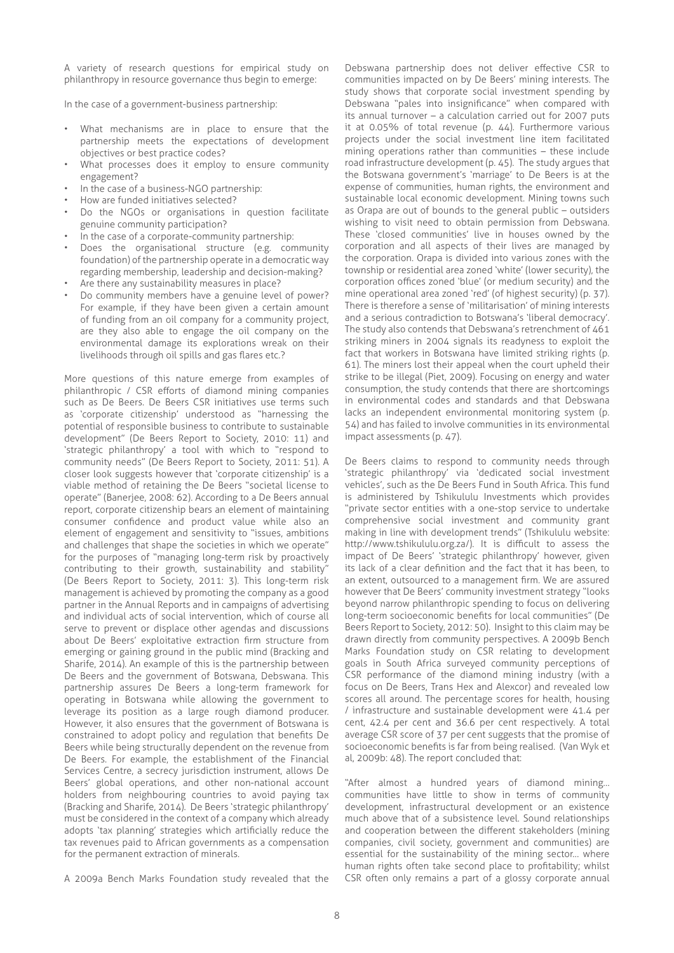A variety of research questions for empirical study on philanthropy in resource governance thus begin to emerge:

In the case of a government-business partnership:

- What mechanisms are in place to ensure that the partnership meets the expectations of development objectives or best practice codes?
- What processes does it employ to ensure community engagement?
- In the case of a business-NGO partnership:
- How are funded initiatives selected?
- Do the NGOs or organisations in question facilitate genuine community participation?
- In the case of a corporate-community partnership:
- Does the organisational structure (e.g. community foundation) of the partnership operate in a democratic way regarding membership, leadership and decision-making?
- Are there any sustainability measures in place?
- Do community members have a genuine level of power? For example, if they have been given a certain amount of funding from an oil company for a community project, are they also able to engage the oil company on the environmental damage its explorations wreak on their livelihoods through oil spills and gas flares etc.?

More questions of this nature emerge from examples of philanthropic / CSR efforts of diamond mining companies such as De Beers. De Beers CSR initiatives use terms such as 'corporate citizenship' understood as "harnessing the potential of responsible business to contribute to sustainable development" (De Beers Report to Society, 2010: 11) and 'strategic philanthropy' a tool with which to "respond to community needs" (De Beers Report to Society, 2011: 51). A closer look suggests however that 'corporate citizenship' is a viable method of retaining the De Beers "societal license to operate" (Banerjee, 2008: 62). According to a De Beers annual report, corporate citizenship bears an element of maintaining consumer confidence and product value while also an element of engagement and sensitivity to "issues, ambitions and challenges that shape the societies in which we operate" for the purposes of "managing long-term risk by proactively contributing to their growth, sustainability and stability" (De Beers Report to Society, 2011: 3). This long-term risk management is achieved by promoting the company as a good partner in the Annual Reports and in campaigns of advertising and individual acts of social intervention, which of course all serve to prevent or displace other agendas and discussions about De Beers' exploitative extraction firm structure from emerging or gaining ground in the public mind (Bracking and Sharife, 2014). An example of this is the partnership between De Beers and the government of Botswana, Debswana. This partnership assures De Beers a long-term framework for operating in Botswana while allowing the government to leverage its position as a large rough diamond producer. However, it also ensures that the government of Botswana is constrained to adopt policy and regulation that benefits De Beers while being structurally dependent on the revenue from De Beers. For example, the establishment of the Financial Services Centre, a secrecy jurisdiction instrument, allows De Beers' global operations, and other non-national account holders from neighbouring countries to avoid paying tax (Bracking and Sharife, 2014). De Beers 'strategic philanthropy' must be considered in the context of a company which already adopts 'tax planning' strategies which artificially reduce the tax revenues paid to African governments as a compensation for the permanent extraction of minerals.

A 2009a Bench Marks Foundation study revealed that the

Debswana partnership does not deliver effective CSR to communities impacted on by De Beers' mining interests. The study shows that corporate social investment spending by Debswana "pales into insignificance" when compared with its annual turnover – a calculation carried out for 2007 puts it at 0.05% of total revenue (p. 44). Furthermore various projects under the social investment line item facilitated mining operations rather than communities – these include road infrastructure development (p. 45). The study argues that the Botswana government's 'marriage' to De Beers is at the expense of communities, human rights, the environment and sustainable local economic development. Mining towns such as Orapa are out of bounds to the general public – outsiders wishing to visit need to obtain permission from Debswana. These 'closed communities' live in houses owned by the corporation and all aspects of their lives are managed by the corporation. Orapa is divided into various zones with the township or residential area zoned 'white' (lower security), the corporation offices zoned 'blue' (or medium security) and the mine operational area zoned 'red' (of highest security) (p. 37). There is therefore a sense of 'militarisation' of mining interests and a serious contradiction to Botswana's 'liberal democracy'. The study also contends that Debswana's retrenchment of 461 striking miners in 2004 signals its readyness to exploit the fact that workers in Botswana have limited striking rights (p. 61). The miners lost their appeal when the court upheld their strike to be illegal (Piet, 2009). Focusing on energy and water consumption, the study contends that there are shortcomings in environmental codes and standards and that Debswana lacks an independent environmental monitoring system (p. 54) and has failed to involve communities in its environmental impact assessments (p. 47).

De Beers claims to respond to community needs through 'strategic philanthropy' via 'dedicated social investment vehicles', such as the De Beers Fund in South Africa. This fund is administered by Tshikululu Investments which provides "private sector entities with a one-stop service to undertake comprehensive social investment and community grant making in line with development trends" (Tshikululu website: http://www.tshikululu.org.za/). It is difficult to assess the impact of De Beers' 'strategic philanthropy' however, given its lack of a clear definition and the fact that it has been, to an extent, outsourced to a management firm. We are assured however that De Beers' community investment strategy "looks beyond narrow philanthropic spending to focus on delivering long-term socioeconomic benefits for local communities" (De Beers Report to Society, 2012: 50). Insight to this claim may be drawn directly from community perspectives. A 2009b Bench Marks Foundation study on CSR relating to development goals in South Africa surveyed community perceptions of CSR performance of the diamond mining industry (with a focus on De Beers, Trans Hex and Alexcor) and revealed low scores all around. The percentage scores for health, housing / infrastructure and sustainable development were 41.4 per cent, 42.4 per cent and 36.6 per cent respectively. A total average CSR score of 37 per cent suggests that the promise of socioeconomic benefits is far from being realised. (Van Wyk et al, 2009b: 48). The report concluded that:

"After almost a hundred years of diamond mining… communities have little to show in terms of community development, infrastructural development or an existence much above that of a subsistence level. Sound relationships and cooperation between the different stakeholders (mining companies, civil society, government and communities) are essential for the sustainability of the mining sector… where human rights often take second place to profitability; whilst CSR often only remains a part of a glossy corporate annual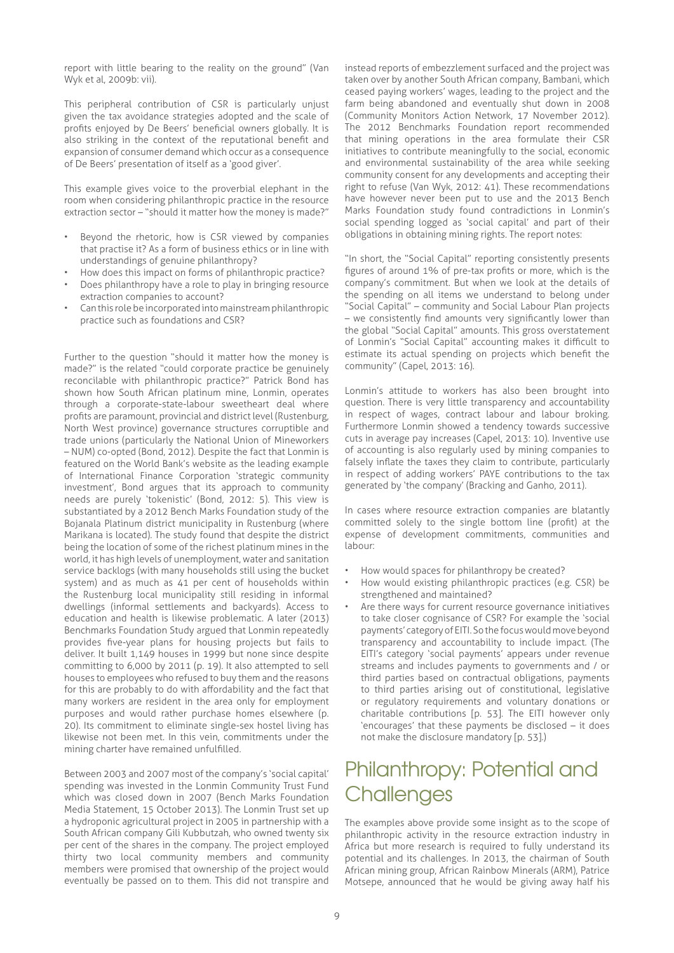report with little bearing to the reality on the ground" (Van Wyk et al, 2009b: vii).

This peripheral contribution of CSR is particularly unjust given the tax avoidance strategies adopted and the scale of profits enjoyed by De Beers' beneficial owners globally. It is also striking in the context of the reputational benefit and expansion of consumer demand which occur as a consequence of De Beers' presentation of itself as a 'good giver'.

This example gives voice to the proverbial elephant in the room when considering philanthropic practice in the resource extraction sector – "should it matter how the money is made?"

- Beyond the rhetoric, how is CSR viewed by companies that practise it? As a form of business ethics or in line with understandings of genuine philanthropy?
- How does this impact on forms of philanthropic practice?
- Does philanthropy have a role to play in bringing resource extraction companies to account?
- Can this role be incorporated into mainstream philanthropic practice such as foundations and CSR?

Further to the question "should it matter how the money is made?" is the related "could corporate practice be genuinely reconcilable with philanthropic practice?" Patrick Bond has shown how South African platinum mine, Lonmin, operates through a corporate-state-labour sweetheart deal where profits are paramount, provincial and district level (Rustenburg, North West province) governance structures corruptible and trade unions (particularly the National Union of Mineworkers – NUM) co-opted (Bond, 2012). Despite the fact that Lonmin is featured on the World Bank's website as the leading example of International Finance Corporation 'strategic community investment', Bond argues that its approach to community needs are purely 'tokenistic' (Bond, 2012: 5). This view is substantiated by a 2012 Bench Marks Foundation study of the Bojanala Platinum district municipality in Rustenburg (where Marikana is located). The study found that despite the district being the location of some of the richest platinum mines in the world, it has high levels of unemployment, water and sanitation service backlogs (with many households still using the bucket system) and as much as 41 per cent of households within the Rustenburg local municipality still residing in informal dwellings (informal settlements and backyards). Access to education and health is likewise problematic. A later (2013) Benchmarks Foundation Study argued that Lonmin repeatedly provides five-year plans for housing projects but fails to deliver. It built 1,149 houses in 1999 but none since despite committing to 6,000 by 2011 (p. 19). It also attempted to sell houses to employees who refused to buy them and the reasons for this are probably to do with affordability and the fact that many workers are resident in the area only for employment purposes and would rather purchase homes elsewhere (p. 20). Its commitment to eliminate single-sex hostel living has likewise not been met. In this vein, commitments under the mining charter have remained unfulfilled.

Between 2003 and 2007 most of the company's 'social capital' spending was invested in the Lonmin Community Trust Fund which was closed down in 2007 (Bench Marks Foundation Media Statement, 15 October 2013). The Lonmin Trust set up a hydroponic agricultural project in 2005 in partnership with a South African company Gili Kubbutzah, who owned twenty six per cent of the shares in the company. The project employed thirty two local community members and community members were promised that ownership of the project would eventually be passed on to them. This did not transpire and

instead reports of embezzlement surfaced and the project was taken over by another South African company, Bambani, which ceased paying workers' wages, leading to the project and the farm being abandoned and eventually shut down in 2008 (Community Monitors Action Network, 17 November 2012). The 2012 Benchmarks Foundation report recommended that mining operations in the area formulate their CSR initiatives to contribute meaningfully to the social, economic and environmental sustainability of the area while seeking community consent for any developments and accepting their right to refuse (Van Wyk, 2012: 41). These recommendations have however never been put to use and the 2013 Bench Marks Foundation study found contradictions in Lonmin's social spending logged as 'social capital' and part of their obligations in obtaining mining rights. The report notes:

"In short, the "Social Capital" reporting consistently presents figures of around 1% of pre-tax profits or more, which is the company's commitment. But when we look at the details of the spending on all items we understand to belong under "Social Capital" – community and Social Labour Plan projects – we consistently find amounts very significantly lower than the global "Social Capital" amounts. This gross overstatement of Lonmin's "Social Capital" accounting makes it difficult to estimate its actual spending on projects which benefit the community" (Capel, 2013: 16).

Lonmin's attitude to workers has also been brought into question. There is very little transparency and accountability in respect of wages, contract labour and labour broking. Furthermore Lonmin showed a tendency towards successive cuts in average pay increases (Capel, 2013: 10). Inventive use of accounting is also regularly used by mining companies to falsely inflate the taxes they claim to contribute, particularly in respect of adding workers' PAYE contributions to the tax generated by 'the company' (Bracking and Ganho, 2011).

In cases where resource extraction companies are blatantly committed solely to the single bottom line (profit) at the expense of development commitments, communities and labour:

- How would spaces for philanthropy be created?
- How would existing philanthropic practices (e.g. CSR) be strengthened and maintained?
- Are there ways for current resource governance initiatives to take closer cognisance of CSR? For example the 'social payments' category of EITI. So the focus would move beyond transparency and accountability to include impact. (The EITI's category 'social payments' appears under revenue streams and includes payments to governments and / or third parties based on contractual obligations, payments to third parties arising out of constitutional, legislative or regulatory requirements and voluntary donations or charitable contributions [p. 53]. The EITI however only 'encourages' that these payments be disclosed – it does not make the disclosure mandatory [p. 53].)

#### Philanthropy: Potential and **Challenges**

The examples above provide some insight as to the scope of philanthropic activity in the resource extraction industry in Africa but more research is required to fully understand its potential and its challenges. In 2013, the chairman of South African mining group, African Rainbow Minerals (ARM), Patrice Motsepe, announced that he would be giving away half his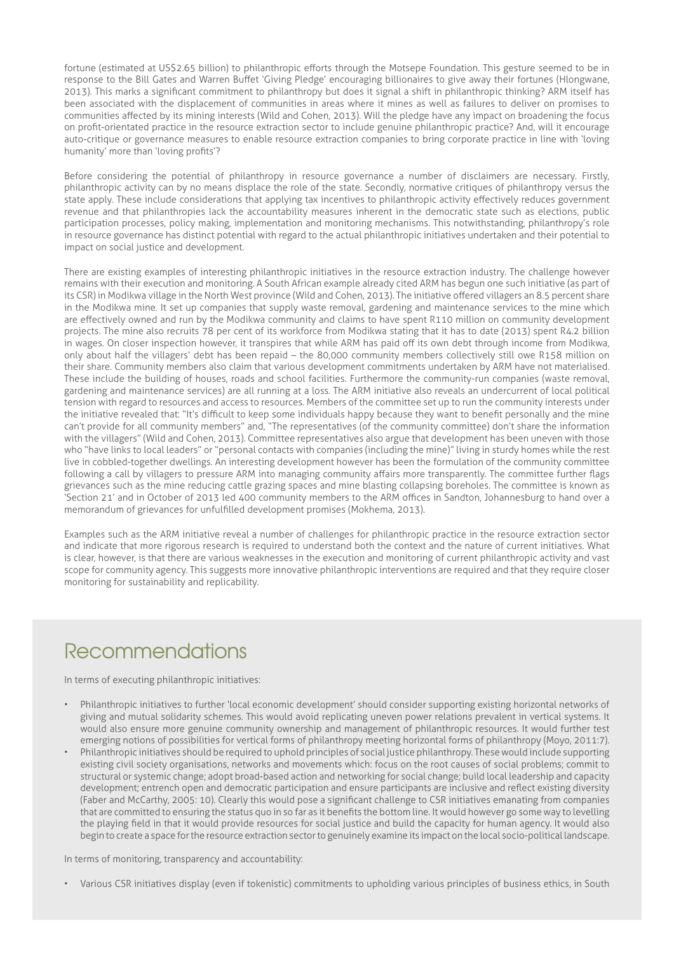fortune (estimated at US\$2.65 billion) to philanthropic efforts through the Motsepe Foundation. This gesture seemed to be in response to the Bill Gates and Warren Buffet 'Giving Pledge' encouraging billionaires to give away their fortunes (Hlongwane, 2013). This marks a significant commitment to philanthropy but does it signal a shift in philanthropic thinking? ARM itself has been associated with the displacement of communities in areas where it mines as well as failures to deliver on promises to communities affected by its mining interests (Wild and Cohen, 2013). Will the pledge have any impact on broadening the focus on profit-orientated practice in the resource extraction sector to include genuine philanthropic practice? And, will it encourage auto-critique or governance measures to enable resource extraction companies to bring corporate practice in line with 'loving humanity' more than 'loving profits'?

Before considering the potential of philanthropy in resource governance a number of disclaimers are necessary. Firstly, philanthropic activity can by no means displace the role of the state. Secondly, normative critiques of philanthropy versus the state apply. These include considerations that applying tax incentives to philanthropic activity effectively reduces government revenue and that philanthropies lack the accountability measures inherent in the democratic state such as elections, public participation processes, policy making, implementation and monitoring mechanisms. This notwithstanding, philanthropy's role in resource governance has distinct potential with regard to the actual philanthropic initiatives undertaken and their potential to impact on social justice and development.

There are existing examples of interesting philanthropic initiatives in the resource extraction industry. The challenge however remains with their execution and monitoring. A South African example already cited ARM has begun one such initiative (as part of its CSR) in Modikwa village in the North West province (Wild and Cohen, 2013). The initiative offered villagers an 8.5 percent share in the Modikwa mine. It set up companies that supply waste removal, gardening and maintenance services to the mine which are effectively owned and run by the Modikwa community and claims to have spent R110 million on community development projects. The mine also recruits 78 per cent of its workforce from Modikwa stating that it has to date (2013) spent R4.2 billion in wages. On closer inspection however, it transpires that while ARM has paid off its own debt through income from Modikwa, only about half the villagers' debt has been repaid – the 80,000 community members collectively still owe R158 million on their share. Community members also claim that various development commitments undertaken by ARM have not materialised. These include the building of houses, roads and school facilities. Furthermore the community-run companies (waste removal, gardening and maintenance services) are all running at a loss. The ARM initiative also reveals an undercurrent of local political tension with regard to resources and access to resources. Members of the committee set up to run the community interests under the initiative revealed that: "It's difficult to keep some individuals happy because they want to benefit personally and the mine can't provide for all community members" and, "The representatives (of the community committee) don't share the information with the villagers" (Wild and Cohen, 2013). Committee representatives also argue that development has been uneven with those who "have links to local leaders" or "personal contacts with companies (including the mine)" living in sturdy homes while the rest live in cobbled-together dwellings. An interesting development however has been the formulation of the community committee following a call by villagers to pressure ARM into managing community affairs more transparently. The committee further flags grievances such as the mine reducing cattle grazing spaces and mine blasting collapsing boreholes. The committee is known as 'Section 21' and in October of 2013 led 400 community members to the ARM offices in Sandton, Johannesburg to hand over a memorandum of grievances for unfulfilled development promises (Mokhema, 2013).

Examples such as the ARM initiative reveal a number of challenges for philanthropic practice in the resource extraction sector and indicate that more rigorous research is required to understand both the context and the nature of current initiatives. What is clear, however, is that there are various weaknesses in the execution and monitoring of current philanthropic activity and vast scope for community agency. This suggests more innovative philanthropic interventions are required and that they require closer monitoring for sustainability and replicability.

# Recommendations

In terms of executing philanthropic initiatives:

- Philanthropic initiatives to further 'local economic development' should consider supporting existing horizontal networks of giving and mutual solidarity schemes. This would avoid replicating uneven power relations prevalent in vertical systems. It would also ensure more genuine community ownership and management of philanthropic resources. It would further test emerging notions of possibilities for vertical forms of philanthropy meeting horizontal forms of philanthropy (Moyo, 2011:7).
- Philanthropic initiatives should be required to uphold principles of social justice philanthropy. These would include supporting existing civil society organisations, networks and movements which: focus on the root causes of social problems; commit to structural or systemic change; adopt broad-based action and networking for social change; build local leadership and capacity development; entrench open and democratic participation and ensure participants are inclusive and reflect existing diversity (Faber and McCarthy, 2005: 10). Clearly this would pose a significant challenge to CSR initiatives emanating from companies that are committed to ensuring the status quo in so far as it benefits the bottom line. It would however go some way to levelling the playing field in that it would provide resources for social justice and build the capacity for human agency. It would also begin to create a space for the resource extraction sector to genuinely examine its impact on the local socio-political landscape.

In terms of monitoring, transparency and accountability:

• Various CSR initiatives display (even if tokenistic) commitments to upholding various principles of business ethics, in South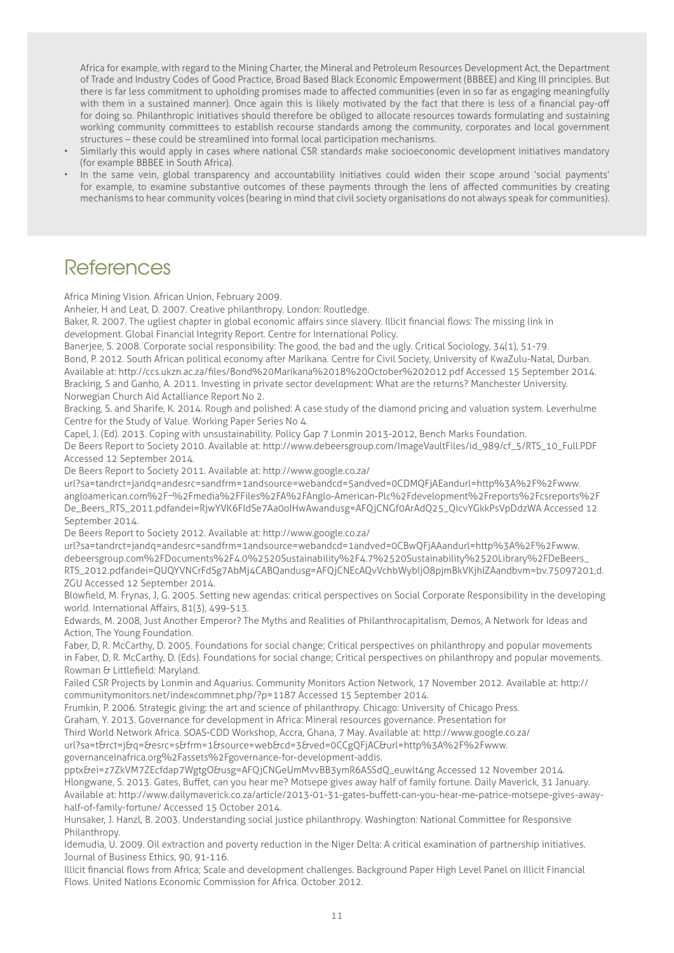Africa for example, with regard to the Mining Charter, the Mineral and Petroleum Resources Development Act, the Department of Trade and Industry Codes of Good Practice, Broad Based Black Economic Empowerment (BBBEE) and King III principles. But there is far less commitment to upholding promises made to affected communities (even in so far as engaging meaningfully with them in a sustained manner). Once again this is likely motivated by the fact that there is less of a financial pay-off for doing so. Philanthropic initiatives should therefore be obliged to allocate resources towards formulating and sustaining working community committees to establish recourse standards among the community, corporates and local government structures – these could be streamlined into formal local participation mechanisms.

- Similarly this would apply in cases where national CSR standards make socioeconomic development initiatives mandatory (for example BBBEE in South Africa).
- In the same vein, global transparency and accountability initiatives could widen their scope around 'social payments' for example, to examine substantive outcomes of these payments through the lens of affected communities by creating mechanisms to hear community voices (bearing in mind that civil society organisations do not always speak for communities).

#### **References**

Africa Mining Vision. African Union, February 2009.

Anheier, H and Leat, D. 2007. Creative philanthropy. London: Routledge.

Baker, R. 2007. The ugliest chapter in global economic affairs since slavery. Illicit financial flows: The missing link in development. Global Financial Integrity Report. Centre for International Policy.

Banerjee, S. 2008. Corporate social responsibility: The good, the bad and the ugly. Critical Sociology, 34(1), 51-79. Bond, P. 2012. South African political economy after Marikana. Centre for Civil Society, University of KwaZulu-Natal, Durban. Available at: http://ccs.ukzn.ac.za/files/Bond%20Marikana%2018%20October%202012.pdf Accessed 15 September 2014. Bracking, S and Ganho, A. 2011. Investing in private sector development: What are the returns? Manchester University. Norwegian Church Aid Actalliance Report No 2.

Bracking, S. and Sharife, K. 2014. Rough and polished: A case study of the diamond pricing and valuation system. Leverhulme Centre for the Study of Value. Working Paper Series No 4.

Capel, J. (Ed). 2013. Coping with unsustainability. Policy Gap 7 Lonmin 2013-2012, Bench Marks Foundation.

De Beers Report to Society 2010. Available at: http://www.debeersgroup.com/ImageVaultFiles/id\_989/cf\_5/RTS\_10\_Full.PDF Accessed 12 September 2014.

De Beers Report to Society 2011. Available at: http://www.google.co.za/

url?sa=tandrct=jandq=andesrc=sandfrm=1andsource=webandcd=5andved=0CDMQFjAEandurl=http%3A%2F%2Fwww. angloamerican.com%2F~%2Fmedia%2FFiles%2FA%2FAnglo-American-Plc%2Fdevelopment%2Freports%2Fcsreports%2F De\_Beers\_RTS\_2011.pdfandei=RjwYVK6FIdSe7Aa0oIHwAwandusg=AFQjCNGf0ArAdQ25\_QicvYGkkPsVpDdzWA Accessed 12 September 2014.

De Beers Report to Society 2012. Available at: http://www.google.co.za/

url?sa=tandrct=jandq=andesrc=sandfrm=1andsource=webandcd=1andved=0CBwQFjAAandurl=http%3A%2F%2Fwww. debeersgroup.com%2FDocuments%2F4.0%2520Sustainability%2F4.7%2520Sustainability%2520Library%2FDeBeers\_ RTS\_2012.pdfandei=QUQYVNCrFdSg7AbMj4CABQandusg=AFQjCNEcAQvVchbWybIjO8pjmBkVKjhIZAandbvm=bv.75097201,d. ZGU Accessed 12 September 2014.

Blowfield, M. Frynas, J, G. 2005. Setting new agendas: critical perspectives on Social Corporate Responsibility in the developing world. International Affairs, 81(3), 499-513.

Edwards, M. 2008, Just Another Emperor? The Myths and Realities of Philanthrocapitalism, Demos, A Network for Ideas and Action, The Young Foundation.

Faber, D, R. McCarthy, D. 2005. Foundations for social change; Critical perspectives on philanthropy and popular movements in Faber, D, R. McCarthy, D. (Eds). Foundations for social change; Critical perspectives on philanthropy and popular movements. Rowman & Littlefield: Maryland.

Failed CSR Projects by Lonmin and Aquarius. Community Monitors Action Network, 17 November 2012. Available at: http:// communitymonitors.net/indexcommnet.php/?p=1187 Accessed 15 September 2014.

Frumkin, P. 2006. Strategic giving: the art and science of philanthropy. Chicago: University of Chicago Press.

Graham, Y. 2013. Governance for development in Africa: Mineral resources governance. Presentation for

Third World Network Africa. SOAS-CDD Workshop, Accra, Ghana, 7 May. Available at: http://www.google.co.za/

url?sa=t&rct=j&q=&esrc=s&frm=1&source=web&cd=3&ved=0CCgQFjAC&url=http%3A%2F%2Fwww. governanceinafrica.org%2Fassets%2Fgovernance-for-development-addis.

pptx&ei=z7ZkVM7ZEcfdap7WgtgO&usg=AFQjCNGeUmMvvBB3ymR6ASSdQ\_euwlt4ng Accessed 12 November 2014.

Hlongwane, S. 2013. Gates, Buffet, can you hear me? Motsepe gives away half of family fortune. Daily Maverick, 31 January. Available at: http://www.dailymaverick.co.za/article/2013-01-31-gates-buffett-can-you-hear-me-patrice-motsepe-gives-awayhalf-of-family-fortune/ Accessed 15 October 2014.

Hunsaker, J. Hanzl, B. 2003. Understanding social justice philanthropy. Washington: National Committee for Responsive Philanthropy.

Idemudia, U. 2009. Oil extraction and poverty reduction in the Niger Delta: A critical examination of partnership initiatives. Journal of Business Ethics, 90, 91-116.

Illicit financial flows from Africa; Scale and development challenges. Background Paper High Level Panel on Illicit Financial Flows. United Nations Economic Commission for Africa. October 2012.